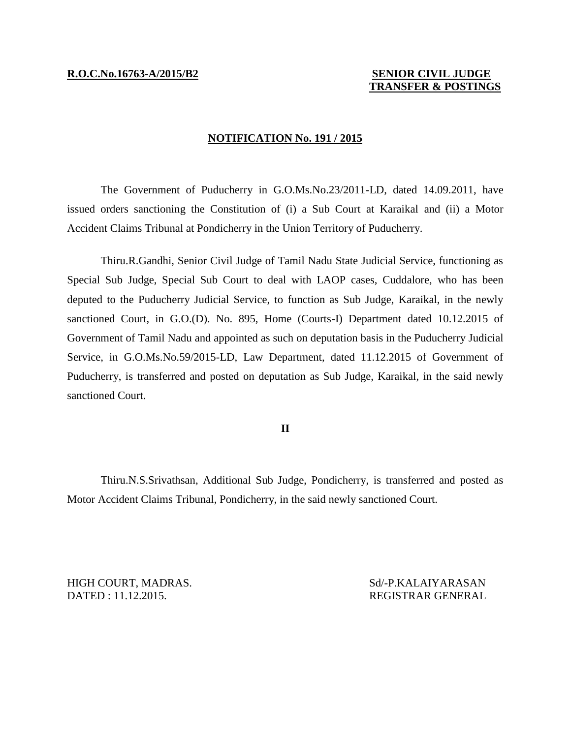# **TRANSFER & POSTINGS**

### **NOTIFICATION No. 191 / 2015**

The Government of Puducherry in G.O.Ms.No.23/2011-LD, dated 14.09.2011, have issued orders sanctioning the Constitution of (i) a Sub Court at Karaikal and (ii) a Motor Accident Claims Tribunal at Pondicherry in the Union Territory of Puducherry.

Thiru.R.Gandhi, Senior Civil Judge of Tamil Nadu State Judicial Service, functioning as Special Sub Judge, Special Sub Court to deal with LAOP cases, Cuddalore, who has been deputed to the Puducherry Judicial Service, to function as Sub Judge, Karaikal, in the newly sanctioned Court, in G.O.(D). No. 895, Home (Courts-I) Department dated 10.12.2015 of Government of Tamil Nadu and appointed as such on deputation basis in the Puducherry Judicial Service, in G.O.Ms.No.59/2015-LD, Law Department, dated 11.12.2015 of Government of Puducherry, is transferred and posted on deputation as Sub Judge, Karaikal, in the said newly sanctioned Court.

# **II**

Thiru.N.S.Srivathsan, Additional Sub Judge, Pondicherry, is transferred and posted as Motor Accident Claims Tribunal, Pondicherry, in the said newly sanctioned Court.

HIGH COURT, MADRAS. Sd/-P.KALAIYARASAN DATED : 11.12.2015. REGISTRAR GENERAL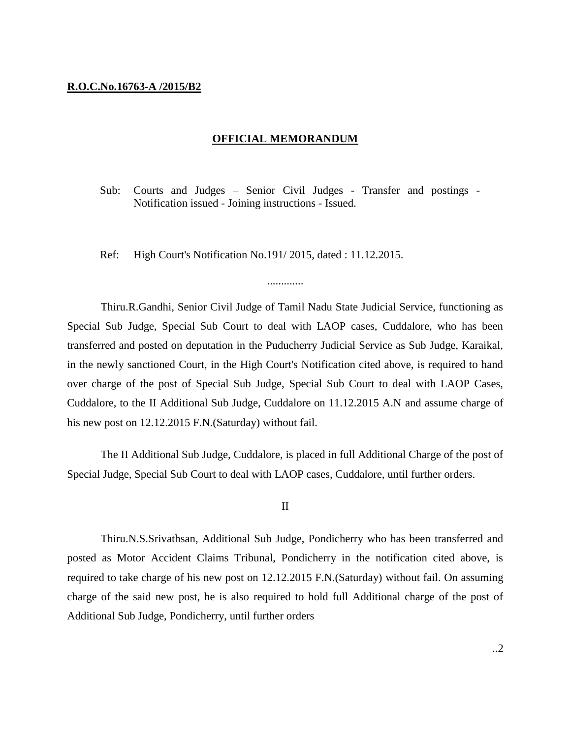## **R.O.C.No.16763-A /2015/B2**

#### **OFFICIAL MEMORANDUM**

Sub: Courts and Judges – Senior Civil Judges - Transfer and postings - Notification issued - Joining instructions - Issued.

Ref: High Court's Notification No.191/ 2015, dated : 11.12.2015.

Thiru.R.Gandhi, Senior Civil Judge of Tamil Nadu State Judicial Service, functioning as Special Sub Judge, Special Sub Court to deal with LAOP cases, Cuddalore, who has been transferred and posted on deputation in the Puducherry Judicial Service as Sub Judge, Karaikal, in the newly sanctioned Court, in the High Court's Notification cited above, is required to hand over charge of the post of Special Sub Judge, Special Sub Court to deal with LAOP Cases, Cuddalore, to the II Additional Sub Judge, Cuddalore on 11.12.2015 A.N and assume charge of his new post on 12.12.2015 F.N.(Saturday) without fail.

.............

The II Additional Sub Judge, Cuddalore, is placed in full Additional Charge of the post of Special Judge, Special Sub Court to deal with LAOP cases, Cuddalore, until further orders.

#### II

Thiru.N.S.Srivathsan, Additional Sub Judge, Pondicherry who has been transferred and posted as Motor Accident Claims Tribunal, Pondicherry in the notification cited above, is required to take charge of his new post on 12.12.2015 F.N.(Saturday) without fail. On assuming charge of the said new post, he is also required to hold full Additional charge of the post of Additional Sub Judge, Pondicherry, until further orders